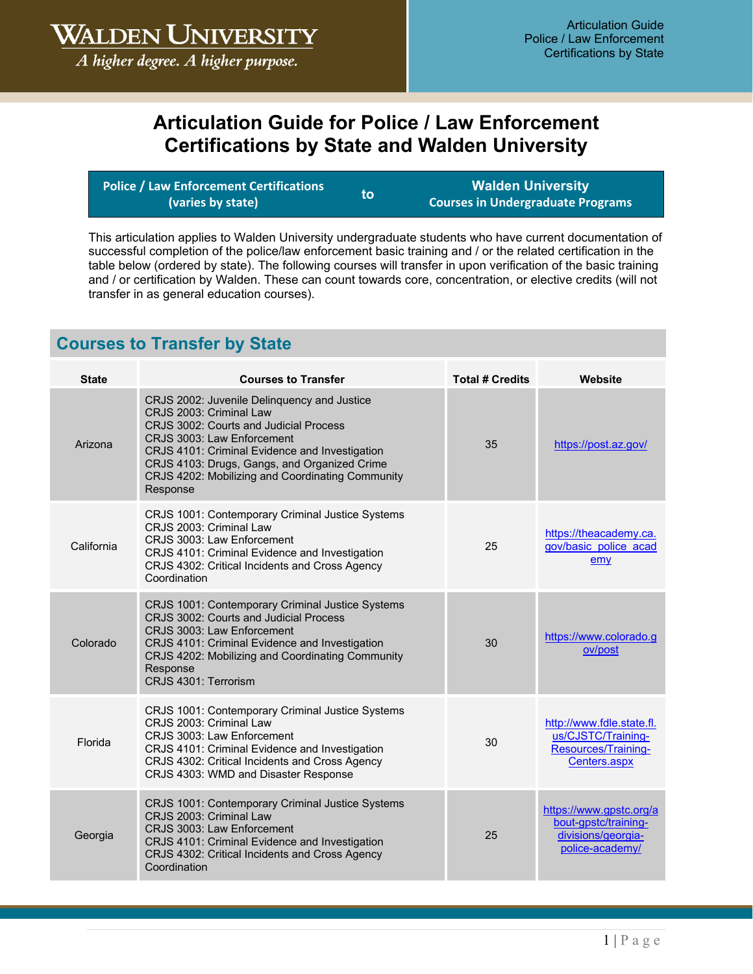**WALDEN UNIVERSITY** 

A higher degree. A higher purpose.

## **Articulation Guide for Police / Law Enforcement Certifications by State and Walden University**

| Police / Law Enforcement Certifications 1 | lto: | <b>Walden University</b>                 |
|-------------------------------------------|------|------------------------------------------|
| (varies by state)                         |      | <b>Courses in Undergraduate Programs</b> |

This articulation applies to Walden University undergraduate students who have current documentation of successful completion of the police/law enforcement basic training and / or the related certification in the table below (ordered by state). The following courses will transfer in upon verification of the basic training and / or certification by Walden. These can count towards core, concentration, or elective credits (will not transfer in as general education courses).

## **Courses to Transfer by State**

| <b>State</b> | <b>Courses to Transfer</b>                                                                                                                                                                                                                                                                                       | <b>Total # Credits</b> | Website                                                                                  |
|--------------|------------------------------------------------------------------------------------------------------------------------------------------------------------------------------------------------------------------------------------------------------------------------------------------------------------------|------------------------|------------------------------------------------------------------------------------------|
| Arizona      | CRJS 2002: Juvenile Delinquency and Justice<br>CRJS 2003: Criminal Law<br>CRJS 3002: Courts and Judicial Process<br>CRJS 3003: Law Enforcement<br>CRJS 4101: Criminal Evidence and Investigation<br>CRJS 4103: Drugs, Gangs, and Organized Crime<br>CRJS 4202: Mobilizing and Coordinating Community<br>Response | 35                     | https://post.az.gov/                                                                     |
| California   | CRJS 1001: Contemporary Criminal Justice Systems<br>CRJS 2003: Criminal Law<br>CRJS 3003: Law Enforcement<br>CRJS 4101: Criminal Evidence and Investigation<br>CRJS 4302: Critical Incidents and Cross Agency<br>Coordination                                                                                    | 25                     | https://theacademy.ca.<br>gov/basic police acad<br>emy                                   |
| Colorado     | CRJS 1001: Contemporary Criminal Justice Systems<br>CRJS 3002: Courts and Judicial Process<br>CRJS 3003: Law Enforcement<br>CRJS 4101: Criminal Evidence and Investigation<br>CRJS 4202: Mobilizing and Coordinating Community<br>Response<br>CRJS 4301: Terrorism                                               | 30                     | https://www.colorado.g<br>ov/post                                                        |
| Florida      | CRJS 1001: Contemporary Criminal Justice Systems<br>CRJS 2003: Criminal Law<br>CRJS 3003: Law Enforcement<br>CRJS 4101: Criminal Evidence and Investigation<br>CRJS 4302: Critical Incidents and Cross Agency<br>CRJS 4303: WMD and Disaster Response                                                            | 30                     | http://www.fdle.state.fl.<br>us/CJSTC/Training-<br>Resources/Training-<br>Centers.aspx   |
| Georgia      | CRJS 1001: Contemporary Criminal Justice Systems<br>CRJS 2003: Criminal Law<br>CRJS 3003: Law Enforcement<br>CRJS 4101: Criminal Evidence and Investigation<br>CRJS 4302: Critical Incidents and Cross Agency<br>Coordination                                                                                    | 25                     | https://www.gpstc.org/a<br>bout-gpstc/training-<br>divisions/georgia-<br>police-academy/ |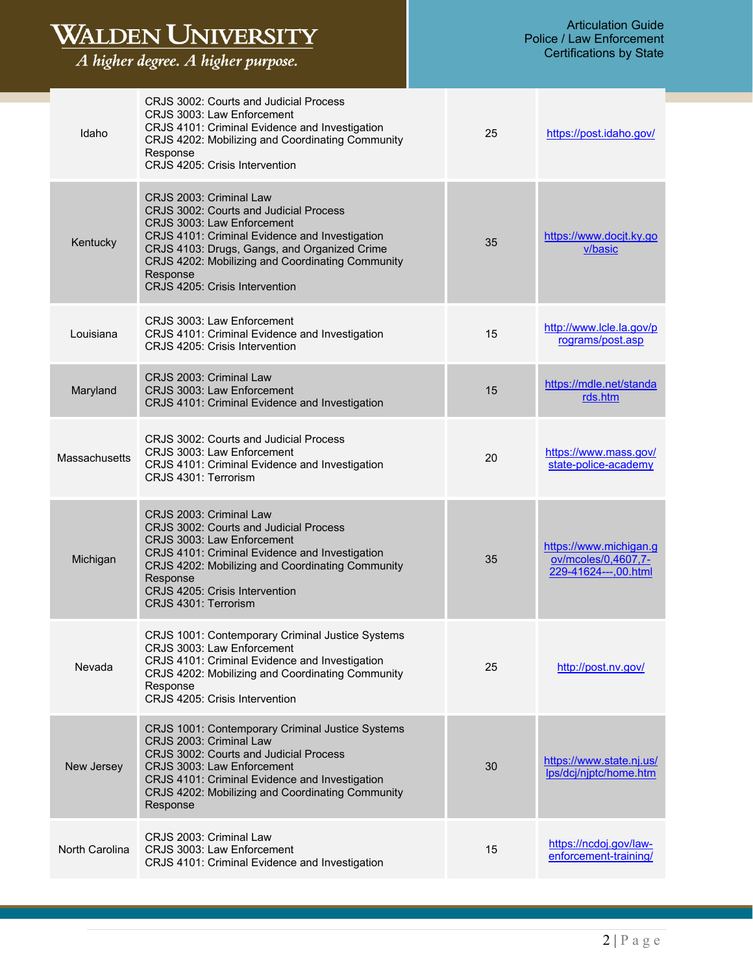| WALDEN UNIVERSITY<br>A higher degree. A higher purpose. |                                                                                                                                                                                                                                                                                                     | <b>Articulation Guide</b><br><b>Police / Law Enforcement</b><br><b>Certifications by State</b> |    |                                                                       |
|---------------------------------------------------------|-----------------------------------------------------------------------------------------------------------------------------------------------------------------------------------------------------------------------------------------------------------------------------------------------------|------------------------------------------------------------------------------------------------|----|-----------------------------------------------------------------------|
| Idaho                                                   | CRJS 3002: Courts and Judicial Process<br>CRJS 3003: Law Enforcement<br>CRJS 4101: Criminal Evidence and Investigation<br>CRJS 4202: Mobilizing and Coordinating Community<br>Response<br>CRJS 4205: Crisis Intervention                                                                            |                                                                                                | 25 | https://post.idaho.gov/                                               |
| Kentucky                                                | CRJS 2003: Criminal Law<br>CRJS 3002: Courts and Judicial Process<br>CRJS 3003: Law Enforcement<br>CRJS 4101: Criminal Evidence and Investigation<br>CRJS 4103: Drugs, Gangs, and Organized Crime<br>CRJS 4202: Mobilizing and Coordinating Community<br>Response<br>CRJS 4205: Crisis Intervention |                                                                                                | 35 | https://www.docjt.ky.go<br>v/basic                                    |
| Louisiana                                               | CRJS 3003: Law Enforcement<br>CRJS 4101: Criminal Evidence and Investigation<br>CRJS 4205: Crisis Intervention                                                                                                                                                                                      |                                                                                                | 15 | http://www.lcle.la.gov/p<br>rograms/post.asp                          |
| Maryland                                                | CRJS 2003: Criminal Law<br>CRJS 3003: Law Enforcement<br>CRJS 4101: Criminal Evidence and Investigation                                                                                                                                                                                             |                                                                                                | 15 | https://mdle.net/standa<br>rds.htm                                    |
| Massachusetts                                           | CRJS 3002: Courts and Judicial Process<br>CRJS 3003: Law Enforcement<br>CRJS 4101: Criminal Evidence and Investigation<br>CRJS 4301: Terrorism                                                                                                                                                      |                                                                                                | 20 | https://www.mass.gov/<br>state-police-academy                         |
| Michigan                                                | CRJS 2003: Criminal Law<br>CRJS 3002: Courts and Judicial Process<br>CRJS 3003: Law Enforcement<br>CRJS 4101: Criminal Evidence and Investigation<br>CRJS 4202: Mobilizing and Coordinating Community<br>Response<br>CRJS 4205: Crisis Intervention<br>CRJS 4301: Terrorism                         |                                                                                                | 35 | https://www.michigan.g<br>ov/mcoles/0,4607,7-<br>229-41624---,00.html |
| Nevada                                                  | CRJS 1001: Contemporary Criminal Justice Systems<br>CRJS 3003: Law Enforcement<br>CRJS 4101: Criminal Evidence and Investigation<br>CRJS 4202: Mobilizing and Coordinating Community<br>Response<br>CRJS 4205: Crisis Intervention                                                                  |                                                                                                | 25 | http://post.nv.gov/                                                   |
| New Jersey                                              | CRJS 1001: Contemporary Criminal Justice Systems<br>CRJS 2003: Criminal Law<br>CRJS 3002: Courts and Judicial Process<br>CRJS 3003: Law Enforcement<br>CRJS 4101: Criminal Evidence and Investigation<br>CRJS 4202: Mobilizing and Coordinating Community<br>Response                               |                                                                                                | 30 | https://www.state.nj.us/<br>lps/dcj/njptc/home.htm                    |
| North Carolina                                          | CRJS 2003: Criminal Law<br>CRJS 3003: Law Enforcement<br>CRJS 4101: Criminal Evidence and Investigation                                                                                                                                                                                             |                                                                                                | 15 | https://ncdoj.gov/law-<br>enforcement-training/                       |

## Articulation Guide Police / Law Enforcement